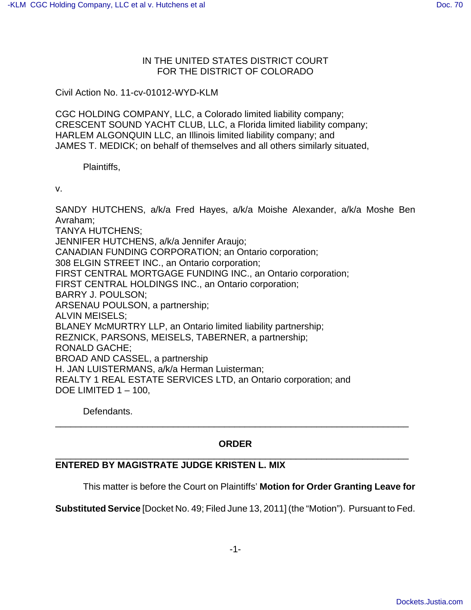## IN THE UNITED STATES DISTRICT COURT FOR THE DISTRICT OF COLORADO

Civil Action No. 11-cv-01012-WYD-KLM

CGC HOLDING COMPANY, LLC, a Colorado limited liability company; CRESCENT SOUND YACHT CLUB, LLC, a Florida limited liability company; HARLEM ALGONQUIN LLC, an Illinois limited liability company; and JAMES T. MEDICK; on behalf of themselves and all others similarly situated,

Plaintiffs,

v.

SANDY HUTCHENS, a/k/a Fred Hayes, a/k/a Moishe Alexander, a/k/a Moshe Ben Avraham; TANYA HUTCHENS; JENNIFER HUTCHENS, a/k/a Jennifer Araujo; CANADIAN FUNDING CORPORATION; an Ontario corporation; 308 ELGIN STREET INC., an Ontario corporation; FIRST CENTRAL MORTGAGE FUNDING INC., an Ontario corporation; FIRST CENTRAL HOLDINGS INC., an Ontario corporation; BARRY J. POULSON; ARSENAU POULSON, a partnership; ALVIN MEISELS; BLANEY McMURTRY LLP, an Ontario limited liability partnership; REZNICK, PARSONS, MEISELS, TABERNER, a partnership; RONALD GACHE; BROAD AND CASSEL, a partnership H. JAN LUISTERMANS, a/k/a Herman Luisterman; REALTY 1 REAL ESTATE SERVICES LTD, an Ontario corporation; and DOE LIMITED 1 – 100,

Defendants.

## **ORDER** \_\_\_\_\_\_\_\_\_\_\_\_\_\_\_\_\_\_\_\_\_\_\_\_\_\_\_\_\_\_\_\_\_\_\_\_\_\_\_\_\_\_\_\_\_\_\_\_\_\_\_\_\_\_\_\_\_\_\_\_\_\_\_\_\_\_\_\_\_

\_\_\_\_\_\_\_\_\_\_\_\_\_\_\_\_\_\_\_\_\_\_\_\_\_\_\_\_\_\_\_\_\_\_\_\_\_\_\_\_\_\_\_\_\_\_\_\_\_\_\_\_\_\_\_\_\_\_\_\_\_\_\_\_\_\_\_\_\_

## **ENTERED BY MAGISTRATE JUDGE KRISTEN L. MIX**

This matter is before the Court on Plaintiffs' **Motion for Order Granting Leave for**

**Substituted Service** [Docket No. 49; Filed June 13, 2011] (the "Motion"). Pursuant to Fed.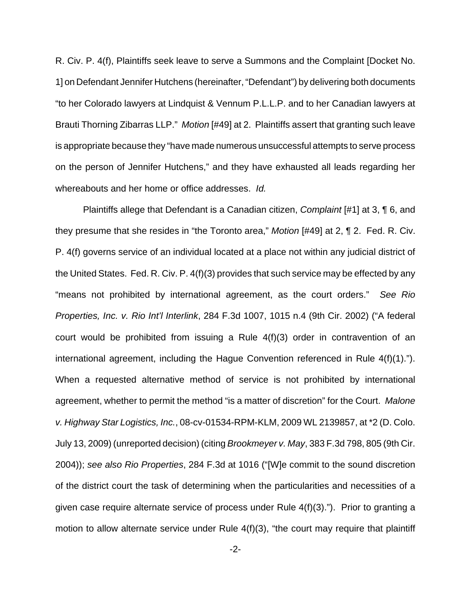R. Civ. P. 4(f), Plaintiffs seek leave to serve a Summons and the Complaint [Docket No. 1] on Defendant Jennifer Hutchens (hereinafter, "Defendant") by delivering both documents "to her Colorado lawyers at Lindquist & Vennum P.L.L.P. and to her Canadian lawyers at Brauti Thorning Zibarras LLP." Motion [#49] at 2. Plaintiffs assert that granting such leave is appropriate because they "have made numerous unsuccessful attempts to serve process on the person of Jennifer Hutchens," and they have exhausted all leads regarding her whereabouts and her home or office addresses. Id.

Plaintiffs allege that Defendant is a Canadian citizen, Complaint [#1] at 3, ¶ 6, and they presume that she resides in "the Toronto area," Motion [#49] at 2, ¶ 2. Fed. R. Civ. P. 4(f) governs service of an individual located at a place not within any judicial district of the United States. Fed. R. Civ. P. 4(f)(3) provides that such service may be effected by any "means not prohibited by international agreement, as the court orders." See Rio Properties, Inc. v. Rio Int'l Interlink, 284 F.3d 1007, 1015 n.4 (9th Cir. 2002) ("A federal court would be prohibited from issuing a Rule 4(f)(3) order in contravention of an international agreement, including the Hague Convention referenced in Rule 4(f)(1)."). When a requested alternative method of service is not prohibited by international agreement, whether to permit the method "is a matter of discretion" for the Court. Malone v. Highway Star Logistics, Inc., 08-cv-01534-RPM-KLM, 2009 WL 2139857, at \*2 (D. Colo. July 13, 2009) (unreported decision) (citing Brookmeyer v. May, 383 F.3d 798, 805 (9th Cir. 2004)); see also Rio Properties, 284 F.3d at 1016 ("[W]e commit to the sound discretion of the district court the task of determining when the particularities and necessities of a given case require alternate service of process under Rule 4(f)(3)."). Prior to granting a motion to allow alternate service under Rule 4(f)(3), "the court may require that plaintiff

-2-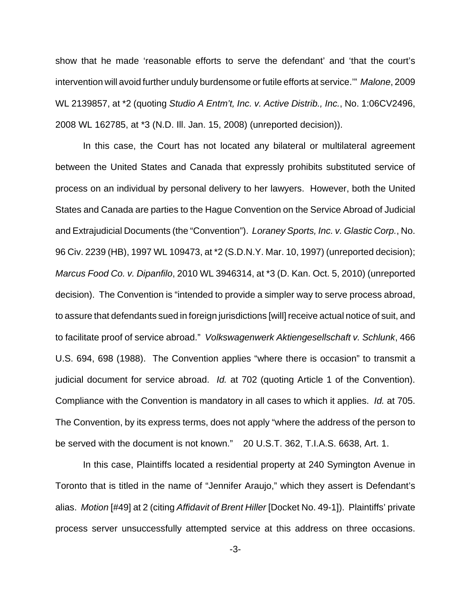show that he made 'reasonable efforts to serve the defendant' and 'that the court's intervention will avoid further unduly burdensome or futile efforts at service.'" Malone, 2009 WL 2139857, at \*2 (quoting Studio A Entm't, Inc. v. Active Distrib., Inc., No. 1:06CV2496, 2008 WL 162785, at \*3 (N.D. Ill. Jan. 15, 2008) (unreported decision)).

In this case, the Court has not located any bilateral or multilateral agreement between the United States and Canada that expressly prohibits substituted service of process on an individual by personal delivery to her lawyers. However, both the United States and Canada are parties to the Hague Convention on the Service Abroad of Judicial and Extrajudicial Documents (the "Convention"). Loraney Sports, Inc. v. Glastic Corp., No. 96 Civ. 2239 (HB), 1997 WL 109473, at \*2 (S.D.N.Y. Mar. 10, 1997) (unreported decision); Marcus Food Co. v. Dipanfilo, 2010 WL 3946314, at \*3 (D. Kan. Oct. 5, 2010) (unreported decision). The Convention is "intended to provide a simpler way to serve process abroad, to assure that defendants sued in foreign jurisdictions [will] receive actual notice of suit, and to facilitate proof of service abroad." Volkswagenwerk Aktiengesellschaft v. Schlunk, 466 U.S. 694, 698 (1988). The Convention applies "where there is occasion" to transmit a judicial document for service abroad. Id. at 702 (quoting Article 1 of the Convention). Compliance with the Convention is mandatory in all cases to which it applies. *Id.* at 705. The Convention, by its express terms, does not apply "where the address of the person to be served with the document is not known." 20 U.S.T. 362, T.I.A.S. 6638, Art. 1.

In this case, Plaintiffs located a residential property at 240 Symington Avenue in Toronto that is titled in the name of "Jennifer Araujo," which they assert is Defendant's alias. Motion [#49] at 2 (citing Affidavit of Brent Hiller [Docket No. 49-1]). Plaintiffs' private process server unsuccessfully attempted service at this address on three occasions.

-3-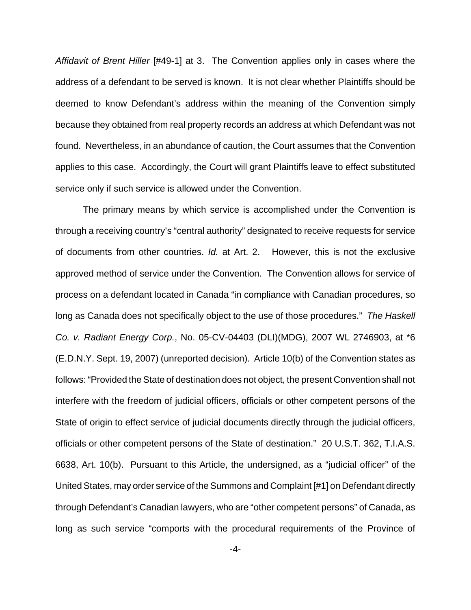Affidavit of Brent Hiller [#49-1] at 3. The Convention applies only in cases where the address of a defendant to be served is known. It is not clear whether Plaintiffs should be deemed to know Defendant's address within the meaning of the Convention simply because they obtained from real property records an address at which Defendant was not found. Nevertheless, in an abundance of caution, the Court assumes that the Convention applies to this case. Accordingly, the Court will grant Plaintiffs leave to effect substituted service only if such service is allowed under the Convention.

The primary means by which service is accomplished under the Convention is through a receiving country's "central authority" designated to receive requests for service of documents from other countries. Id. at Art. 2. However, this is not the exclusive approved method of service under the Convention. The Convention allows for service of process on a defendant located in Canada "in compliance with Canadian procedures, so long as Canada does not specifically object to the use of those procedures." The Haskell Co. v. Radiant Energy Corp., No. 05-CV-04403 (DLI)(MDG), 2007 WL 2746903, at \*6 (E.D.N.Y. Sept. 19, 2007) (unreported decision). Article 10(b) of the Convention states as follows: "Provided the State of destination does not object, the present Convention shall not interfere with the freedom of judicial officers, officials or other competent persons of the State of origin to effect service of judicial documents directly through the judicial officers, officials or other competent persons of the State of destination." 20 U.S.T. 362, T.I.A.S. 6638, Art. 10(b). Pursuant to this Article, the undersigned, as a "judicial officer" of the United States, may order service of the Summons and Complaint [#1] on Defendant directly through Defendant's Canadian lawyers, who are "other competent persons" of Canada, as long as such service "comports with the procedural requirements of the Province of

-4-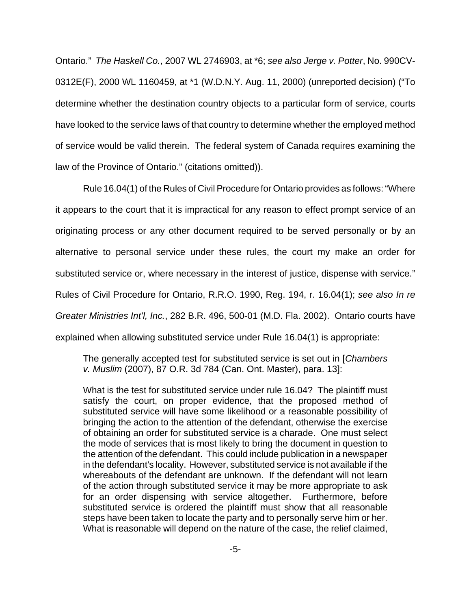Ontario." The Haskell Co., 2007 WL 2746903, at \*6; see also Jerge v. Potter, No. 990CV-0312E(F), 2000 WL 1160459, at \*1 (W.D.N.Y. Aug. 11, 2000) (unreported decision) ("To determine whether the destination country objects to a particular form of service, courts have looked to the service laws of that country to determine whether the employed method of service would be valid therein. The federal system of Canada requires examining the law of the Province of Ontario." (citations omitted)).

Rule 16.04(1) of the Rules of Civil Procedure for Ontario provides as follows: "Where it appears to the court that it is impractical for any reason to effect prompt service of an originating process or any other document required to be served personally or by an alternative to personal service under these rules, the court my make an order for substituted service or, where necessary in the interest of justice, dispense with service." Rules of Civil Procedure for Ontario, R.R.O. 1990, Reg. 194, r. 16.04(1); see also In re Greater Ministries Int'l, Inc., 282 B.R. 496, 500-01 (M.D. Fla. 2002). Ontario courts have explained when allowing substituted service under Rule 16.04(1) is appropriate:

The generally accepted test for substituted service is set out in [Chambers] v. Muslim (2007), 87 O.R. 3d 784 (Can. Ont. Master), para. 13]:

What is the test for substituted service under rule 16.04? The plaintiff must satisfy the court, on proper evidence, that the proposed method of substituted service will have some likelihood or a reasonable possibility of bringing the action to the attention of the defendant, otherwise the exercise of obtaining an order for substituted service is a charade. One must select the mode of services that is most likely to bring the document in question to the attention of the defendant. This could include publication in a newspaper in the defendant's locality. However, substituted service is not available if the whereabouts of the defendant are unknown. If the defendant will not learn of the action through substituted service it may be more appropriate to ask for an order dispensing with service altogether. Furthermore, before substituted service is ordered the plaintiff must show that all reasonable steps have been taken to locate the party and to personally serve him or her. What is reasonable will depend on the nature of the case, the relief claimed,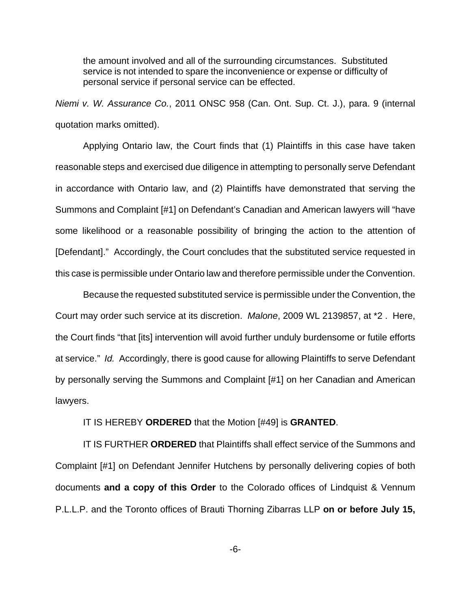the amount involved and all of the surrounding circumstances. Substituted service is not intended to spare the inconvenience or expense or difficulty of personal service if personal service can be effected.

Niemi v. W. Assurance Co., 2011 ONSC 958 (Can. Ont. Sup. Ct. J.), para. 9 (internal quotation marks omitted).

Applying Ontario law, the Court finds that (1) Plaintiffs in this case have taken reasonable steps and exercised due diligence in attempting to personally serve Defendant in accordance with Ontario law, and (2) Plaintiffs have demonstrated that serving the Summons and Complaint [#1] on Defendant's Canadian and American lawyers will "have some likelihood or a reasonable possibility of bringing the action to the attention of [Defendant]." Accordingly, the Court concludes that the substituted service requested in this case is permissible under Ontario law and therefore permissible under the Convention.

Because the requested substituted service is permissible under the Convention, the Court may order such service at its discretion. Malone, 2009 WL 2139857, at \*2 . Here, the Court finds "that [its] intervention will avoid further unduly burdensome or futile efforts at service." Id. Accordingly, there is good cause for allowing Plaintiffs to serve Defendant by personally serving the Summons and Complaint [#1] on her Canadian and American lawyers.

IT IS HEREBY **ORDERED** that the Motion [#49] is **GRANTED**.

IT IS FURTHER **ORDERED** that Plaintiffs shall effect service of the Summons and Complaint [#1] on Defendant Jennifer Hutchens by personally delivering copies of both documents **and a copy of this Order** to the Colorado offices of Lindquist & Vennum P.L.L.P. and the Toronto offices of Brauti Thorning Zibarras LLP **on or before July 15,**

-6-